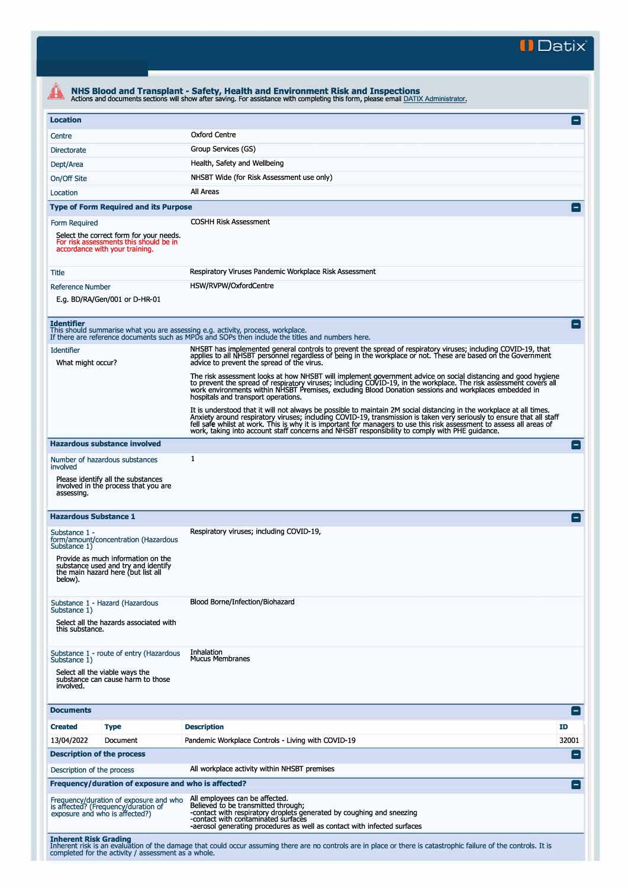**II Datix"** 

|                                                                                                                                             | Actions and documents sections will show after saving. For assistance with completing this form, please email DATIX Administrator.                                                                                                                                                                                                                                                                                                                                       |                 |
|---------------------------------------------------------------------------------------------------------------------------------------------|--------------------------------------------------------------------------------------------------------------------------------------------------------------------------------------------------------------------------------------------------------------------------------------------------------------------------------------------------------------------------------------------------------------------------------------------------------------------------|-----------------|
| <b>Location</b>                                                                                                                             |                                                                                                                                                                                                                                                                                                                                                                                                                                                                          | E               |
| Centre                                                                                                                                      | Oxford Centre                                                                                                                                                                                                                                                                                                                                                                                                                                                            |                 |
| Directorate                                                                                                                                 | Group Services (GS)                                                                                                                                                                                                                                                                                                                                                                                                                                                      |                 |
| Dept/Area                                                                                                                                   | Health, Safety and Wellbeing                                                                                                                                                                                                                                                                                                                                                                                                                                             |                 |
| On/Off Site                                                                                                                                 | NHSBT Wide (for Risk Assessment use only)                                                                                                                                                                                                                                                                                                                                                                                                                                |                 |
| Location                                                                                                                                    | All Areas                                                                                                                                                                                                                                                                                                                                                                                                                                                                |                 |
| <b>Type of Form Required and its Purpose</b>                                                                                                |                                                                                                                                                                                                                                                                                                                                                                                                                                                                          |                 |
| Form Required                                                                                                                               | <b>COSHH Risk Assessment</b>                                                                                                                                                                                                                                                                                                                                                                                                                                             |                 |
| Select the correct form for your needs.<br>For risk assessments this should be in<br>accordance with your training.                         |                                                                                                                                                                                                                                                                                                                                                                                                                                                                          |                 |
| Title                                                                                                                                       | Respiratory Viruses Pandemic Workplace Risk Assessment                                                                                                                                                                                                                                                                                                                                                                                                                   |                 |
| <b>Reference Number</b>                                                                                                                     | HSW/RVPW/OxfordCentre                                                                                                                                                                                                                                                                                                                                                                                                                                                    |                 |
| E.g. BD/RA/Gen/001 or D-HR-01                                                                                                               |                                                                                                                                                                                                                                                                                                                                                                                                                                                                          |                 |
| <b>Identifier</b><br>This should summarise what you are assessing e.g. activity, process, workplace.<br><b>Identifier</b>                   | If there are reference documents such as MPDs and SOPs then include the titles and numbers here.<br>NHSBT has implemented general controls to prevent the spread of respiratory viruses; including COVID-19, that                                                                                                                                                                                                                                                        |                 |
| What might occur?                                                                                                                           | applies to all NHSBT personnel regardless of being in the workplace or not. These are based on the Government<br>advice to prevent the spread of the virus.                                                                                                                                                                                                                                                                                                              |                 |
|                                                                                                                                             | The risk assessment looks at how NHSBT will implement government advice on social distancing and good hygiene<br>to prevent the spread of respiratory viruses; including COVID-19, in the workplace. The risk assessment covers all<br>work environments within NHSBT Premises, excluding Blood Donation sessions and workplaces embedded in<br>hospitals and transport operations.                                                                                      |                 |
|                                                                                                                                             | It is understood that it will not always be possible to maintain 2M social distancing in the workplace at all times.<br>Anxiety around respiratory viruses; including COVID-19, transmission is taken very seriously to ensure that all staff<br>fell safe whilst at work. This is why it is important for managers to use this risk assessment to assess all areas of<br>work, taking into account staff concerns and NHSBT responsibility to comply with PHE guidance. |                 |
| <b>Hazardous substance involved</b>                                                                                                         |                                                                                                                                                                                                                                                                                                                                                                                                                                                                          | $\vert - \vert$ |
| Number of hazardous substances<br>involved                                                                                                  | 1                                                                                                                                                                                                                                                                                                                                                                                                                                                                        |                 |
| Please identify all the substances<br>involved in the process that you are<br>assessing.                                                    |                                                                                                                                                                                                                                                                                                                                                                                                                                                                          |                 |
| <b>Hazardous Substance 1</b>                                                                                                                |                                                                                                                                                                                                                                                                                                                                                                                                                                                                          |                 |
| Substance 1 -<br>form/amount/concentration (Hazardous                                                                                       | Respiratory viruses; including COVID-19,                                                                                                                                                                                                                                                                                                                                                                                                                                 |                 |
| Substance 1)<br>Provide as much information on the<br>substance used and try and identify<br>the main hazard here (but list all<br>below).  |                                                                                                                                                                                                                                                                                                                                                                                                                                                                          |                 |
| Substance 1 - Hazard (Hazardous<br>Substance 1)                                                                                             | Blood Borne/Infection/Biohazard                                                                                                                                                                                                                                                                                                                                                                                                                                          |                 |
| Select all the hazards associated with<br>this substance.                                                                                   |                                                                                                                                                                                                                                                                                                                                                                                                                                                                          |                 |
| Substance 1 - route of entry (Hazardous<br>Substance 1)<br>Select all the viable ways the<br>substance can cause harm to those<br>involved. | Inhalation<br><b>Mucus Membranes</b>                                                                                                                                                                                                                                                                                                                                                                                                                                     |                 |
| <b>Documents</b>                                                                                                                            |                                                                                                                                                                                                                                                                                                                                                                                                                                                                          | $\vert - \vert$ |
| <b>Created</b><br><b>Type</b>                                                                                                               | <b>Description</b>                                                                                                                                                                                                                                                                                                                                                                                                                                                       | ID              |
| 13/04/2022<br>Document                                                                                                                      | Pandemic Workplace Controls - Living with COVID-19                                                                                                                                                                                                                                                                                                                                                                                                                       | 32001           |
| <b>Description of the process</b>                                                                                                           |                                                                                                                                                                                                                                                                                                                                                                                                                                                                          | $\vert - \vert$ |
| Description of the process                                                                                                                  | All workplace activity within NHSBT premises                                                                                                                                                                                                                                                                                                                                                                                                                             |                 |
| Frequency/duration of exposure and who is affected?                                                                                         |                                                                                                                                                                                                                                                                                                                                                                                                                                                                          | E               |
| Frequency/duration of exposure and who<br>is affected? (Frequency/duration of<br>exposure and who is affected?)                             | All employees can be affected.<br>Believed to be transmitted through;<br>-contact with respiratory droplets generated by coughing and sneezing<br>-contact with contaminated surfaces<br>-aerosol generating procedures as well as contact with infected surfaces                                                                                                                                                                                                        |                 |
| <b>Inherent Risk Grading</b><br>completed for the activity / assessment as a whole.                                                         | Inherent risk is an evaluation of the damage that could occur assuming there are no controls are in place or there is catastrophic failure of the controls. It is                                                                                                                                                                                                                                                                                                        |                 |